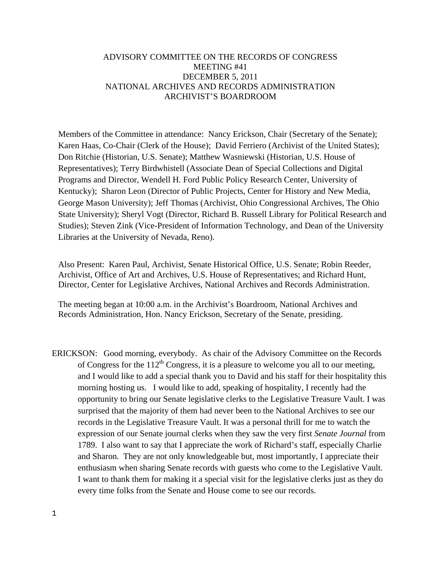# ADVISORY COMMITTEE ON THE RECORDS OF CONGRESS MEETING #41 DECEMBER 5, 2011 NATIONAL ARCHIVES AND RECORDS ADMINISTRATION ARCHIVIST'S BOARDROOM

Members of the Committee in attendance: Nancy Erickson, Chair (Secretary of the Senate); Karen Haas, Co-Chair (Clerk of the House); David Ferriero (Archivist of the United States); Don Ritchie (Historian, U.S. Senate); Matthew Wasniewski (Historian, U.S. House of Representatives); Terry Birdwhistell (Associate Dean of Special Collections and Digital Programs and Director, Wendell H. Ford Public Policy Research Center, University of Kentucky); Sharon Leon (Director of Public Projects, Center for History and New Media, George Mason University); Jeff Thomas (Archivist, Ohio Congressional Archives, The Ohio State University); Sheryl Vogt (Director, Richard B. Russell Library for Political Research and Studies); Steven Zink (Vice-President of Information Technology, and Dean of the University Libraries at the University of Nevada, Reno).

Also Present: Karen Paul, Archivist, Senate Historical Office, U.S. Senate; Robin Reeder, Archivist, Office of Art and Archives, U.S. House of Representatives; and Richard Hunt, Director, Center for Legislative Archives, National Archives and Records Administration.

The meeting began at 10:00 a.m. in the Archivist's Boardroom, National Archives and Records Administration, Hon. Nancy Erickson, Secretary of the Senate, presiding.

ERICKSON: Good morning, everybody. As chair of the Advisory Committee on the Records of Congress for the  $112<sup>th</sup>$  Congress, it is a pleasure to welcome you all to our meeting, and I would like to add a special thank you to David and his staff for their hospitality this morning hosting us. I would like to add, speaking of hospitality, I recently had the opportunity to bring our Senate legislative clerks to the Legislative Treasure Vault. I was surprised that the majority of them had never been to the National Archives to see our records in the Legislative Treasure Vault. It was a personal thrill for me to watch the expression of our Senate journal clerks when they saw the very first *Senate Journal* from 1789. I also want to say that I appreciate the work of Richard's staff, especially Charlie and Sharon. They are not only knowledgeable but, most importantly, I appreciate their enthusiasm when sharing Senate records with guests who come to the Legislative Vault. I want to thank them for making it a special visit for the legislative clerks just as they do every time folks from the Senate and House come to see our records.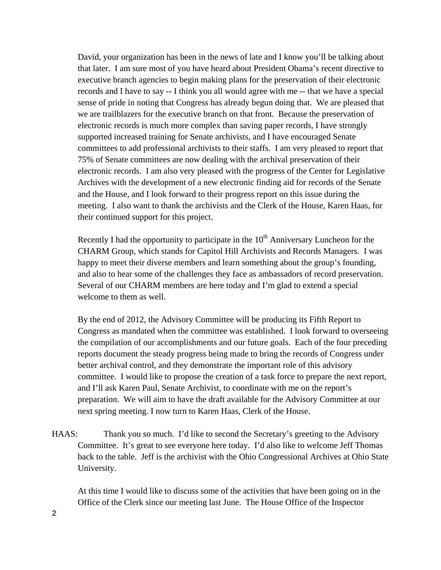David, your organization has been in the news of late and I know you'll be talking about that later. I am sure most of you have heard about President Obama's recent directive to executive branch agencies to begin making plans for the preservation of their electronic records and I have to say -- I think you all would agree with me -- that we have a special sense of pride in noting that Congress has already begun doing that. We are pleased that we are trailblazers for the executive branch on that front. Because the preservation of electronic records is much more complex than saving paper records, I have strongly supported increased training for Senate archivists, and I have encouraged Senate committees to add professional archivists to their staffs. I am very pleased to report that 75% of Senate committees are now dealing with the archival preservation of their electronic records. I am also very pleased with the progress of the Center for Legislative Archives with the development of a new electronic finding aid for records of the Senate and the House, and I look forward to their progress report on this issue during the meeting. I also want to thank the archivists and the Clerk of the House, Karen Haas, for their continued support for this project.

Recently I had the opportunity to participate in the  $10<sup>th</sup>$  Anniversary Luncheon for the CHARM Group, which stands for Capitol Hill Archivists and Records Managers. I was happy to meet their diverse members and learn something about the group's founding, and also to hear some of the challenges they face as ambassadors of record preservation. Several of our CHARM members are here today and I'm glad to extend a special welcome to them as well.

By the end of 2012, the Advisory Committee will be producing its Fifth Report to Congress as mandated when the committee was established. I look forward to overseeing the compilation of our accomplishments and our future goals. Each of the four preceding reports document the steady progress being made to bring the records of Congress under better archival control, and they demonstrate the important role of this advisory committee. I would like to propose the creation of a task force to prepare the next report, and I'll ask Karen Paul, Senate Archivist, to coordinate with me on the report's preparation. We will aim to have the draft available for the Advisory Committee at our next spring meeting. I now turn to Karen Haas, Clerk of the House.

HAAS: Thank you so much. I'd like to second the Secretary's greeting to the Advisory Committee. It's great to see everyone here today. I'd also like to welcome Jeff Thomas back to the table. Jeff is the archivist with the Ohio Congressional Archives at Ohio State University.

At this time I would like to discuss some of the activities that have been going on in the Office of the Clerk since our meeting last June. The House Office of the Inspector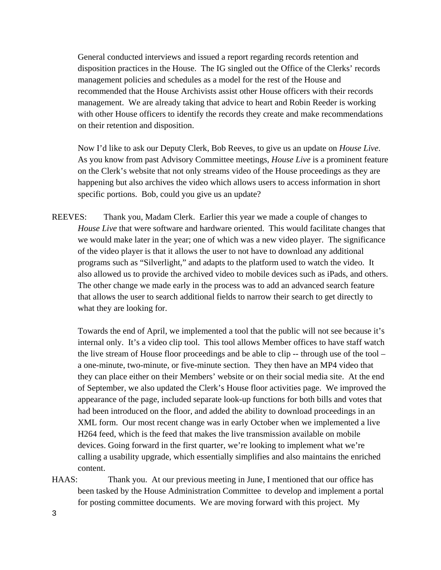General conducted interviews and issued a report regarding records retention and disposition practices in the House. The IG singled out the Office of the Clerks' records management policies and schedules as a model for the rest of the House and recommended that the House Archivists assist other House officers with their records management. We are already taking that advice to heart and Robin Reeder is working with other House officers to identify the records they create and make recommendations on their retention and disposition.

Now I'd like to ask our Deputy Clerk, Bob Reeves, to give us an update on *House Live*. As you know from past Advisory Committee meetings, *House Live* is a prominent feature on the Clerk's website that not only streams video of the House proceedings as they are happening but also archives the video which allows users to access information in short specific portions. Bob, could you give us an update?

REEVES: Thank you, Madam Clerk. Earlier this year we made a couple of changes to *House Live* that were software and hardware oriented. This would facilitate changes that we would make later in the year; one of which was a new video player. The significance of the video player is that it allows the user to not have to download any additional programs such as "Silverlight," and adapts to the platform used to watch the video. It also allowed us to provide the archived video to mobile devices such as iPads, and others. The other change we made early in the process was to add an advanced search feature that allows the user to search additional fields to narrow their search to get directly to what they are looking for.

Towards the end of April, we implemented a tool that the public will not see because it's internal only. It's a video clip tool. This tool allows Member offices to have staff watch the live stream of House floor proceedings and be able to clip -- through use of the tool – a one-minute, two-minute, or five-minute section. They then have an MP4 video that they can place either on their Members' website or on their social media site. At the end of September, we also updated the Clerk's House floor activities page. We improved the appearance of the page, included separate look-up functions for both bills and votes that had been introduced on the floor, and added the ability to download proceedings in an XML form. Our most recent change was in early October when we implemented a live H264 feed, which is the feed that makes the live transmission available on mobile devices. Going forward in the first quarter, we're looking to implement what we're calling a usability upgrade, which essentially simplifies and also maintains the enriched content.

HAAS: Thank you. At our previous meeting in June, I mentioned that our office has been tasked by the House Administration Committee to develop and implement a portal for posting committee documents. We are moving forward with this project. My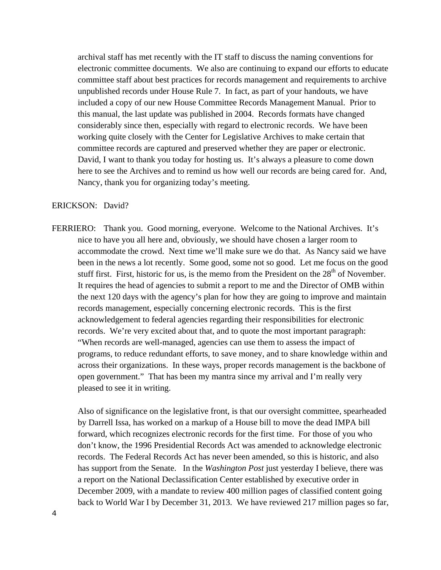archival staff has met recently with the IT staff to discuss the naming conventions for electronic committee documents. We also are continuing to expand our efforts to educate committee staff about best practices for records management and requirements to archive unpublished records under House Rule 7. In fact, as part of your handouts, we have included a copy of our new House Committee Records Management Manual. Prior to this manual, the last update was published in 2004. Records formats have changed considerably since then, especially with regard to electronic records. We have been working quite closely with the Center for Legislative Archives to make certain that committee records are captured and preserved whether they are paper or electronic. David, I want to thank you today for hosting us. It's always a pleasure to come down here to see the Archives and to remind us how well our records are being cared for. And, Nancy, thank you for organizing today's meeting.

#### ERICKSON: David?

FERRIERO: Thank you. Good morning, everyone. Welcome to the National Archives. It's nice to have you all here and, obviously, we should have chosen a larger room to accommodate the crowd. Next time we'll make sure we do that. As Nancy said we have been in the news a lot recently. Some good, some not so good. Let me focus on the good stuff first. First, historic for us, is the memo from the President on the  $28<sup>th</sup>$  of November. It requires the head of agencies to submit a report to me and the Director of OMB within the next 120 days with the agency's plan for how they are going to improve and maintain records management, especially concerning electronic records. This is the first acknowledgement to federal agencies regarding their responsibilities for electronic records. We're very excited about that, and to quote the most important paragraph: "When records are well-managed, agencies can use them to assess the impact of programs, to reduce redundant efforts, to save money, and to share knowledge within and across their organizations. In these ways, proper records management is the backbone of open government." That has been my mantra since my arrival and I'm really very pleased to see it in writing.

Also of significance on the legislative front, is that our oversight committee, spearheaded by Darrell Issa, has worked on a markup of a House bill to move the dead IMPA bill forward, which recognizes electronic records for the first time. For those of you who don't know, the 1996 Presidential Records Act was amended to acknowledge electronic records. The Federal Records Act has never been amended, so this is historic, and also has support from the Senate. In the *Washington Post* just yesterday I believe, there was a report on the National Declassification Center established by executive order in December 2009, with a mandate to review 400 million pages of classified content going back to World War I by December 31, 2013. We have reviewed 217 million pages so far,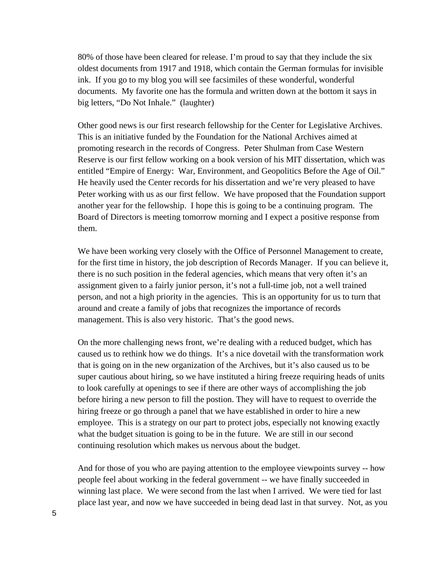80% of those have been cleared for release. I'm proud to say that they include the six oldest documents from 1917 and 1918, which contain the German formulas for invisible ink. If you go to my blog you will see facsimiles of these wonderful, wonderful documents. My favorite one has the formula and written down at the bottom it says in big letters, "Do Not Inhale." (laughter)

Other good news is our first research fellowship for the Center for Legislative Archives. This is an initiative funded by the Foundation for the National Archives aimed at promoting research in the records of Congress. Peter Shulman from Case Western Reserve is our first fellow working on a book version of his MIT dissertation, which was entitled "Empire of Energy: War, Environment, and Geopolitics Before the Age of Oil." He heavily used the Center records for his dissertation and we're very pleased to have Peter working with us as our first fellow. We have proposed that the Foundation support another year for the fellowship. I hope this is going to be a continuing program. The Board of Directors is meeting tomorrow morning and I expect a positive response from them.

We have been working very closely with the Office of Personnel Management to create, for the first time in history, the job description of Records Manager. If you can believe it, there is no such position in the federal agencies, which means that very often it's an assignment given to a fairly junior person, it's not a full-time job, not a well trained person, and not a high priority in the agencies. This is an opportunity for us to turn that around and create a family of jobs that recognizes the importance of records management. This is also very historic. That's the good news.

On the more challenging news front, we're dealing with a reduced budget, which has caused us to rethink how we do things. It's a nice dovetail with the transformation work that is going on in the new organization of the Archives, but it's also caused us to be super cautious about hiring, so we have instituted a hiring freeze requiring heads of units to look carefully at openings to see if there are other ways of accomplishing the job before hiring a new person to fill the postion. They will have to request to override the hiring freeze or go through a panel that we have established in order to hire a new employee. This is a strategy on our part to protect jobs, especially not knowing exactly what the budget situation is going to be in the future. We are still in our second continuing resolution which makes us nervous about the budget.

And for those of you who are paying attention to the employee viewpoints survey -- how people feel about working in the federal government -- we have finally succeeded in winning last place. We were second from the last when I arrived. We were tied for last place last year, and now we have succeeded in being dead last in that survey. Not, as you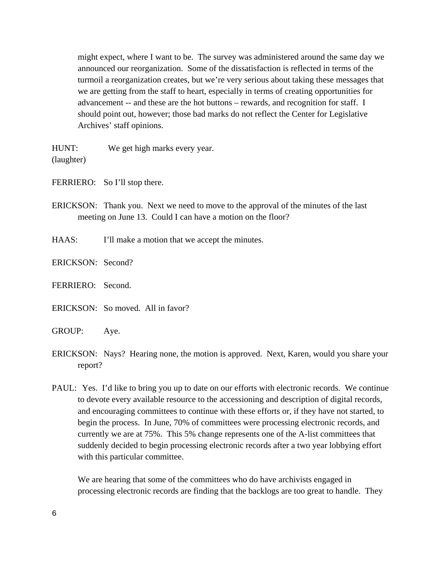might expect, where I want to be. The survey was administered around the same day we announced our reorganization. Some of the dissatisfaction is reflected in terms of the turmoil a reorganization creates, but we're very serious about taking these messages that we are getting from the staff to heart, especially in terms of creating opportunities for advancement -- and these are the hot buttons – rewards, and recognition for staff. I should point out, however; those bad marks do not reflect the Center for Legislative Archives' staff opinions.

HUNT: We get high marks every year. (laughter)

FERRIERO: So I'll stop there.

ERICKSON: Thank you. Next we need to move to the approval of the minutes of the last meeting on June 13. Could I can have a motion on the floor?

HAAS: I'll make a motion that we accept the minutes.

ERICKSON: Second?

FERRIERO: Second.

ERICKSON: So moved. All in favor?

GROUP: Aye.

- ERICKSON: Nays? Hearing none, the motion is approved. Next, Karen, would you share your report?
- PAUL: Yes. I'd like to bring you up to date on our efforts with electronic records. We continue to devote every available resource to the accessioning and description of digital records, and encouraging committees to continue with these efforts or, if they have not started, to begin the process. In June, 70% of committees were processing electronic records, and currently we are at 75%. This 5% change represents one of the A-list committees that suddenly decided to begin processing electronic records after a two year lobbying effort with this particular committee.

We are hearing that some of the committees who do have archivists engaged in processing electronic records are finding that the backlogs are too great to handle. They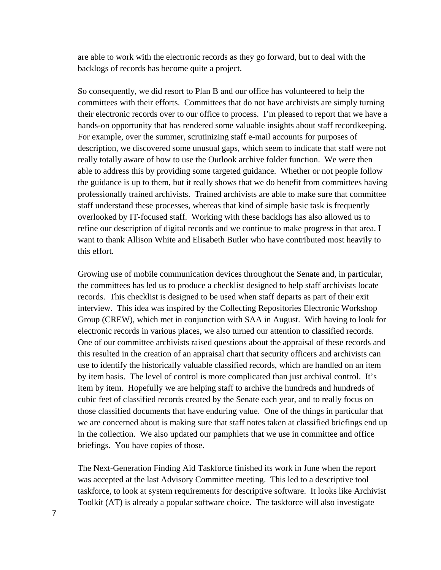are able to work with the electronic records as they go forward, but to deal with the backlogs of records has become quite a project.

So consequently, we did resort to Plan B and our office has volunteered to help the committees with their efforts. Committees that do not have archivists are simply turning their electronic records over to our office to process. I'm pleased to report that we have a hands-on opportunity that has rendered some valuable insights about staff recordkeeping. For example, over the summer, scrutinizing staff e-mail accounts for purposes of description, we discovered some unusual gaps, which seem to indicate that staff were not really totally aware of how to use the Outlook archive folder function. We were then able to address this by providing some targeted guidance. Whether or not people follow the guidance is up to them, but it really shows that we do benefit from committees having professionally trained archivists. Trained archivists are able to make sure that committee staff understand these processes, whereas that kind of simple basic task is frequently overlooked by IT-focused staff. Working with these backlogs has also allowed us to refine our description of digital records and we continue to make progress in that area. I want to thank Allison White and Elisabeth Butler who have contributed most heavily to this effort.

Growing use of mobile communication devices throughout the Senate and, in particular, the committees has led us to produce a checklist designed to help staff archivists locate records. This checklist is designed to be used when staff departs as part of their exit interview. This idea was inspired by the Collecting Repositories Electronic Workshop Group (CREW), which met in conjunction with SAA in August. With having to look for electronic records in various places, we also turned our attention to classified records. One of our committee archivists raised questions about the appraisal of these records and this resulted in the creation of an appraisal chart that security officers and archivists can use to identify the historically valuable classified records, which are handled on an item by item basis. The level of control is more complicated than just archival control. It's item by item. Hopefully we are helping staff to archive the hundreds and hundreds of cubic feet of classified records created by the Senate each year, and to really focus on those classified documents that have enduring value. One of the things in particular that we are concerned about is making sure that staff notes taken at classified briefings end up in the collection. We also updated our pamphlets that we use in committee and office briefings. You have copies of those.

The Next-Generation Finding Aid Taskforce finished its work in June when the report was accepted at the last Advisory Committee meeting. This led to a descriptive tool taskforce, to look at system requirements for descriptive software. It looks like Archivist Toolkit (AT) is already a popular software choice. The taskforce will also investigate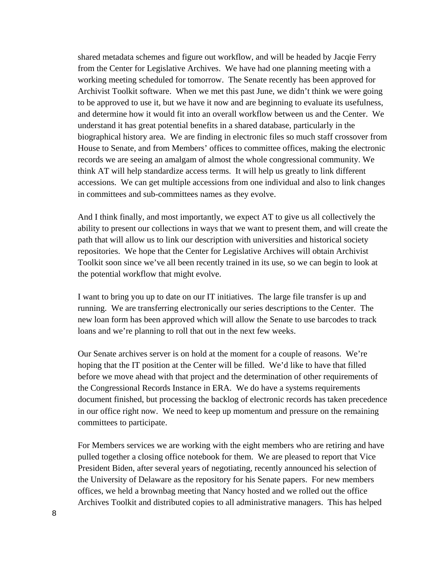shared metadata schemes and figure out workflow, and will be headed by Jacqie Ferry from the Center for Legislative Archives. We have had one planning meeting with a working meeting scheduled for tomorrow. The Senate recently has been approved for Archivist Toolkit software. When we met this past June, we didn't think we were going to be approved to use it, but we have it now and are beginning to evaluate its usefulness, and determine how it would fit into an overall workflow between us and the Center. We understand it has great potential benefits in a shared database, particularly in the biographical history area. We are finding in electronic files so much staff crossover from House to Senate, and from Members' offices to committee offices, making the electronic records we are seeing an amalgam of almost the whole congressional community. We think AT will help standardize access terms. It will help us greatly to link different accessions. We can get multiple accessions from one individual and also to link changes in committees and sub-committees names as they evolve.

And I think finally, and most importantly, we expect AT to give us all collectively the ability to present our collections in ways that we want to present them, and will create the path that will allow us to link our description with universities and historical society repositories. We hope that the Center for Legislative Archives will obtain Archivist Toolkit soon since we've all been recently trained in its use, so we can begin to look at the potential workflow that might evolve.

I want to bring you up to date on our IT initiatives. The large file transfer is up and running. We are transferring electronically our series descriptions to the Center. The new loan form has been approved which will allow the Senate to use barcodes to track loans and we're planning to roll that out in the next few weeks.

Our Senate archives server is on hold at the moment for a couple of reasons. We're hoping that the IT position at the Center will be filled. We'd like to have that filled before we move ahead with that project and the determination of other requirements of the Congressional Records Instance in ERA. We do have a systems requirements document finished, but processing the backlog of electronic records has taken precedence in our office right now. We need to keep up momentum and pressure on the remaining committees to participate.

For Members services we are working with the eight members who are retiring and have pulled together a closing office notebook for them. We are pleased to report that Vice President Biden, after several years of negotiating, recently announced his selection of the University of Delaware as the repository for his Senate papers. For new members offices, we held a brownbag meeting that Nancy hosted and we rolled out the office Archives Toolkit and distributed copies to all administrative managers. This has helped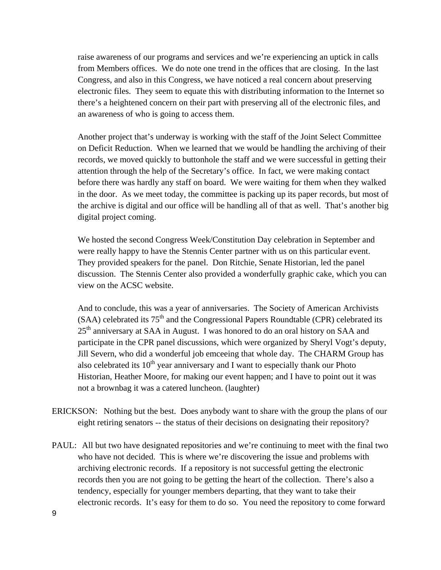raise awareness of our programs and services and we're experiencing an uptick in calls from Members offices. We do note one trend in the offices that are closing. In the last Congress, and also in this Congress, we have noticed a real concern about preserving electronic files. They seem to equate this with distributing information to the Internet so there's a heightened concern on their part with preserving all of the electronic files, and an awareness of who is going to access them.

Another project that's underway is working with the staff of the Joint Select Committee on Deficit Reduction. When we learned that we would be handling the archiving of their records, we moved quickly to buttonhole the staff and we were successful in getting their attention through the help of the Secretary's office. In fact, we were making contact before there was hardly any staff on board. We were waiting for them when they walked in the door. As we meet today, the committee is packing up its paper records, but most of the archive is digital and our office will be handling all of that as well. That's another big digital project coming.

We hosted the second Congress Week/Constitution Day celebration in September and were really happy to have the Stennis Center partner with us on this particular event. They provided speakers for the panel. Don Ritchie, Senate Historian, led the panel discussion. The Stennis Center also provided a wonderfully graphic cake, which you can view on the ACSC website.

And to conclude, this was a year of anniversaries. The Society of American Archivists  $(SAA)$  celebrated its  $75<sup>th</sup>$  and the Congressional Papers Roundtable (CPR) celebrated its 25<sup>th</sup> anniversary at SAA in August. I was honored to do an oral history on SAA and participate in the CPR panel discussions, which were organized by Sheryl Vogt's deputy, Jill Severn, who did a wonderful job emceeing that whole day. The CHARM Group has also celebrated its  $10<sup>th</sup>$  year anniversary and I want to especially thank our Photo Historian, Heather Moore, for making our event happen; and I have to point out it was not a brownbag it was a catered luncheon. (laughter)

- ERICKSON: Nothing but the best. Does anybody want to share with the group the plans of our eight retiring senators -- the status of their decisions on designating their repository?
- PAUL: All but two have designated repositories and we're continuing to meet with the final two who have not decided. This is where we're discovering the issue and problems with archiving electronic records. If a repository is not successful getting the electronic records then you are not going to be getting the heart of the collection. There's also a tendency, especially for younger members departing, that they want to take their electronic records. It's easy for them to do so. You need the repository to come forward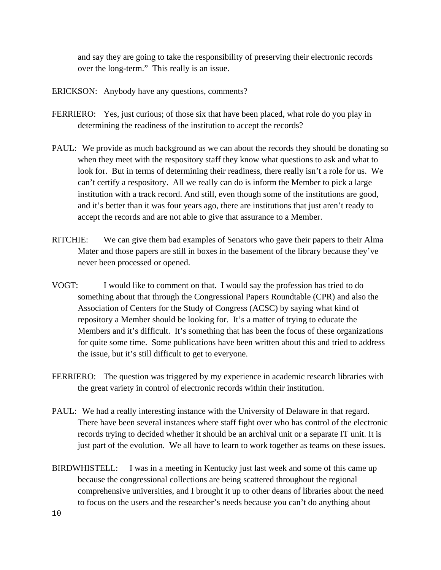and say they are going to take the responsibility of preserving their electronic records over the long-term." This really is an issue.

- ERICKSON: Anybody have any questions, comments?
- FERRIERO: Yes, just curious; of those six that have been placed, what role do you play in determining the readiness of the institution to accept the records?
- PAUL: We provide as much background as we can about the records they should be donating so when they meet with the respository staff they know what questions to ask and what to look for. But in terms of determining their readiness, there really isn't a role for us. We can't certify a respository. All we really can do is inform the Member to pick a large institution with a track record. And still, even though some of the institutions are good, and it's better than it was four years ago, there are institutions that just aren't ready to accept the records and are not able to give that assurance to a Member.
- RITCHIE: We can give them bad examples of Senators who gave their papers to their Alma Mater and those papers are still in boxes in the basement of the library because they've never been processed or opened.
- VOGT: I would like to comment on that. I would say the profession has tried to do something about that through the Congressional Papers Roundtable (CPR) and also the Association of Centers for the Study of Congress (ACSC) by saying what kind of repository a Member should be looking for. It's a matter of trying to educate the Members and it's difficult. It's something that has been the focus of these organizations for quite some time. Some publications have been written about this and tried to address the issue, but it's still difficult to get to everyone.
- FERRIERO: The question was triggered by my experience in academic research libraries with the great variety in control of electronic records within their institution.
- PAUL: We had a really interesting instance with the University of Delaware in that regard. There have been several instances where staff fight over who has control of the electronic records trying to decided whether it should be an archival unit or a separate IT unit. It is just part of the evolution. We all have to learn to work together as teams on these issues.
- BIRDWHISTELL: I was in a meeting in Kentucky just last week and some of this came up because the congressional collections are being scattered throughout the regional comprehensive universities, and I brought it up to other deans of libraries about the need to focus on the users and the researcher's needs because you can't do anything about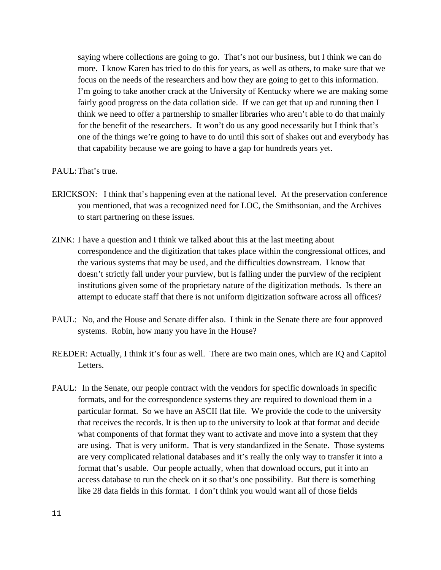saying where collections are going to go. That's not our business, but I think we can do more. I know Karen has tried to do this for years, as well as others, to make sure that we focus on the needs of the researchers and how they are going to get to this information. I'm going to take another crack at the University of Kentucky where we are making some fairly good progress on the data collation side. If we can get that up and running then I think we need to offer a partnership to smaller libraries who aren't able to do that mainly for the benefit of the researchers. It won't do us any good necessarily but I think that's one of the things we're going to have to do until this sort of shakes out and everybody has that capability because we are going to have a gap for hundreds years yet.

### PAUL:That's true.

- ERICKSON: I think that's happening even at the national level. At the preservation conference you mentioned, that was a recognized need for LOC, the Smithsonian, and the Archives to start partnering on these issues.
- ZINK: I have a question and I think we talked about this at the last meeting about correspondence and the digitization that takes place within the congressional offices, and the various systems that may be used, and the difficulties downstream. I know that doesn't strictly fall under your purview, but is falling under the purview of the recipient institutions given some of the proprietary nature of the digitization methods. Is there an attempt to educate staff that there is not uniform digitization software across all offices?
- PAUL: No, and the House and Senate differ also. I think in the Senate there are four approved systems. Robin, how many you have in the House?
- REEDER: Actually, I think it's four as well. There are two main ones, which are IQ and Capitol Letters.
- PAUL: In the Senate, our people contract with the vendors for specific downloads in specific formats, and for the correspondence systems they are required to download them in a particular format. So we have an ASCII flat file. We provide the code to the university that receives the records. It is then up to the university to look at that format and decide what components of that format they want to activate and move into a system that they are using. That is very uniform. That is very standardized in the Senate. Those systems are very complicated relational databases and it's really the only way to transfer it into a format that's usable. Our people actually, when that download occurs, put it into an access database to run the check on it so that's one possibility. But there is something like 28 data fields in this format. I don't think you would want all of those fields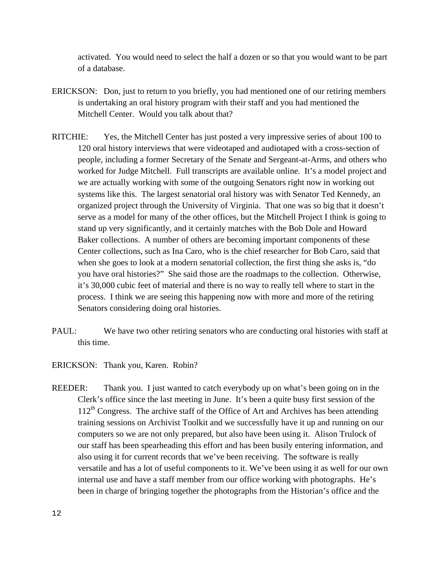activated. You would need to select the half a dozen or so that you would want to be part of a database.

- ERICKSON: Don, just to return to you briefly, you had mentioned one of our retiring members is undertaking an oral history program with their staff and you had mentioned the Mitchell Center. Would you talk about that?
- RITCHIE: Yes, the Mitchell Center has just posted a very impressive series of about 100 to 120 oral history interviews that were videotaped and audiotaped with a cross-section of people, including a former Secretary of the Senate and Sergeant-at-Arms, and others who worked for Judge Mitchell. Full transcripts are available online. It's a model project and we are actually working with some of the outgoing Senators right now in working out systems like this. The largest senatorial oral history was with Senator Ted Kennedy, an organized project through the University of Virginia. That one was so big that it doesn't serve as a model for many of the other offices, but the Mitchell Project I think is going to stand up very significantly, and it certainly matches with the Bob Dole and Howard Baker collections. A number of others are becoming important components of these Center collections, such as Ina Caro, who is the chief researcher for Bob Caro, said that when she goes to look at a modern senatorial collection, the first thing she asks is, "do you have oral histories?" She said those are the roadmaps to the collection. Otherwise, it's 30,000 cubic feet of material and there is no way to really tell where to start in the process. I think we are seeing this happening now with more and more of the retiring Senators considering doing oral histories.
- PAUL: We have two other retiring senators who are conducting oral histories with staff at this time.
- ERICKSON: Thank you, Karen. Robin?
- REEDER: Thank you. I just wanted to catch everybody up on what's been going on in the Clerk's office since the last meeting in June. It's been a quite busy first session of the  $112<sup>th</sup>$  Congress. The archive staff of the Office of Art and Archives has been attending training sessions on Archivist Toolkit and we successfully have it up and running on our computers so we are not only prepared, but also have been using it. Alison Trulock of our staff has been spearheading this effort and has been busily entering information, and also using it for current records that we've been receiving. The software is really versatile and has a lot of useful components to it. We've been using it as well for our own internal use and have a staff member from our office working with photographs. He's been in charge of bringing together the photographs from the Historian's office and the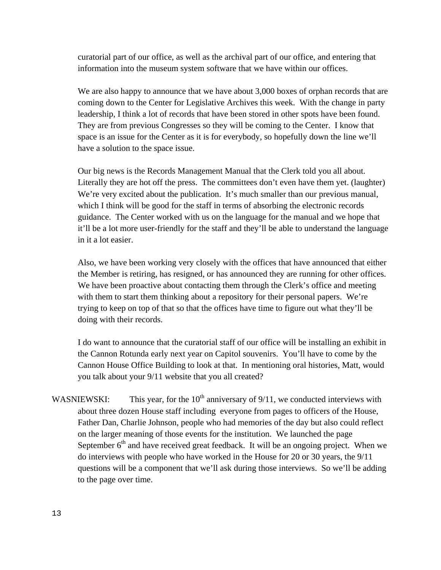curatorial part of our office, as well as the archival part of our office, and entering that information into the museum system software that we have within our offices.

We are also happy to announce that we have about 3,000 boxes of orphan records that are coming down to the Center for Legislative Archives this week. With the change in party leadership, I think a lot of records that have been stored in other spots have been found. They are from previous Congresses so they will be coming to the Center. I know that space is an issue for the Center as it is for everybody, so hopefully down the line we'll have a solution to the space issue.

Our big news is the Records Management Manual that the Clerk told you all about. Literally they are hot off the press. The committees don't even have them yet. (laughter) We're very excited about the publication. It's much smaller than our previous manual, which I think will be good for the staff in terms of absorbing the electronic records guidance. The Center worked with us on the language for the manual and we hope that it'll be a lot more user-friendly for the staff and they'll be able to understand the language in it a lot easier.

Also, we have been working very closely with the offices that have announced that either the Member is retiring, has resigned, or has announced they are running for other offices. We have been proactive about contacting them through the Clerk's office and meeting with them to start them thinking about a repository for their personal papers. We're trying to keep on top of that so that the offices have time to figure out what they'll be doing with their records.

I do want to announce that the curatorial staff of our office will be installing an exhibit in the Cannon Rotunda early next year on Capitol souvenirs. You'll have to come by the Cannon House Office Building to look at that. In mentioning oral histories, Matt, would you talk about your 9/11 website that you all created?

WASNIEWSKI: This year, for the  $10<sup>th</sup>$  anniversary of 9/11, we conducted interviews with about three dozen House staff including everyone from pages to officers of the House, Father Dan, Charlie Johnson, people who had memories of the day but also could reflect on the larger meaning of those events for the institution. We launched the page September  $6<sup>th</sup>$  and have received great feedback. It will be an ongoing project. When we do interviews with people who have worked in the House for 20 or 30 years, the 9/11 questions will be a component that we'll ask during those interviews. So we'll be adding to the page over time.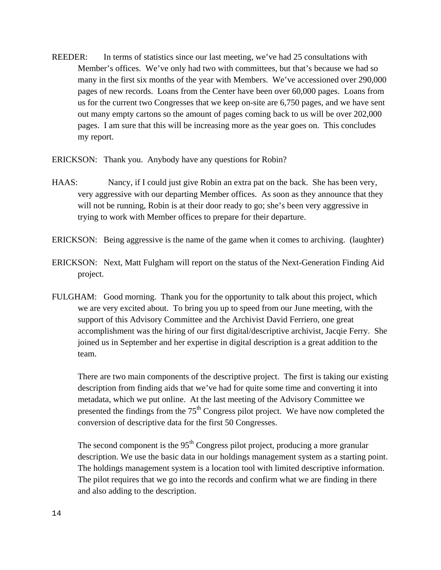REEDER: In terms of statistics since our last meeting, we've had 25 consultations with Member's offices. We've only had two with committees, but that's because we had so many in the first six months of the year with Members. We've accessioned over 290,000 pages of new records. Loans from the Center have been over 60,000 pages. Loans from us for the current two Congresses that we keep on-site are 6,750 pages, and we have sent out many empty cartons so the amount of pages coming back to us will be over 202,000 pages. I am sure that this will be increasing more as the year goes on. This concludes my report.

ERICKSON: Thank you. Anybody have any questions for Robin?

- HAAS: Nancy, if I could just give Robin an extra pat on the back. She has been very, very aggressive with our departing Member offices. As soon as they announce that they will not be running, Robin is at their door ready to go; she's been very aggressive in trying to work with Member offices to prepare for their departure.
- ERICKSON: Being aggressive is the name of the game when it comes to archiving. (laughter)
- ERICKSON: Next, Matt Fulgham will report on the status of the Next-Generation Finding Aid project.
- FULGHAM: Good morning. Thank you for the opportunity to talk about this project, which we are very excited about. To bring you up to speed from our June meeting, with the support of this Advisory Committee and the Archivist David Ferriero, one great accomplishment was the hiring of our first digital/descriptive archivist, Jacqie Ferry. She joined us in September and her expertise in digital description is a great addition to the team.

There are two main components of the descriptive project. The first is taking our existing description from finding aids that we've had for quite some time and converting it into metadata, which we put online. At the last meeting of the Advisory Committee we presented the findings from the  $75<sup>th</sup>$  Congress pilot project. We have now completed the conversion of descriptive data for the first 50 Congresses.

The second component is the  $95<sup>th</sup>$  Congress pilot project, producing a more granular description. We use the basic data in our holdings management system as a starting point. The holdings management system is a location tool with limited descriptive information. The pilot requires that we go into the records and confirm what we are finding in there and also adding to the description.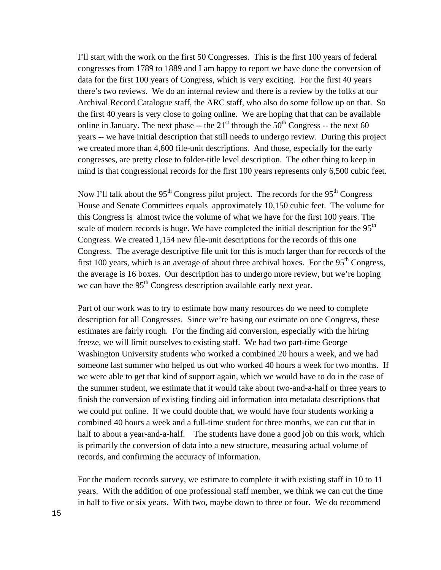I'll start with the work on the first 50 Congresses. This is the first 100 years of federal congresses from 1789 to 1889 and I am happy to report we have done the conversion of data for the first 100 years of Congress, which is very exciting. For the first 40 years there's two reviews. We do an internal review and there is a review by the folks at our Archival Record Catalogue staff, the ARC staff, who also do some follow up on that. So the first 40 years is very close to going online. We are hoping that that can be available online in January. The next phase  $-$  the 21<sup>st</sup> through the 50<sup>th</sup> Congress  $-$  the next 60 years -- we have initial description that still needs to undergo review. During this project we created more than 4,600 file-unit descriptions. And those, especially for the early congresses, are pretty close to folder-title level description. The other thing to keep in mind is that congressional records for the first 100 years represents only 6,500 cubic feet.

Now I'll talk about the 95<sup>th</sup> Congress pilot project. The records for the 95<sup>th</sup> Congress House and Senate Committees equals approximately 10,150 cubic feet. The volume for this Congress is almost twice the volume of what we have for the first 100 years. The scale of modern records is huge. We have completed the initial description for the  $95<sup>th</sup>$ Congress. We created 1,154 new file-unit descriptions for the records of this one Congress. The average descriptive file unit for this is much larger than for records of the first 100 years, which is an average of about three archival boxes. For the  $95<sup>th</sup>$  Congress, the average is 16 boxes. Our description has to undergo more review, but we're hoping we can have the 95<sup>th</sup> Congress description available early next year.

Part of our work was to try to estimate how many resources do we need to complete description for all Congresses. Since we're basing our estimate on one Congress, these estimates are fairly rough. For the finding aid conversion, especially with the hiring freeze, we will limit ourselves to existing staff. We had two part-time George Washington University students who worked a combined 20 hours a week, and we had someone last summer who helped us out who worked 40 hours a week for two months. If we were able to get that kind of support again, which we would have to do in the case of the summer student, we estimate that it would take about two-and-a-half or three years to finish the conversion of existing finding aid information into metadata descriptions that we could put online. If we could double that, we would have four students working a combined 40 hours a week and a full-time student for three months, we can cut that in half to about a year-and-a-half. The students have done a good job on this work, which is primarily the conversion of data into a new structure, measuring actual volume of records, and confirming the accuracy of information.

For the modern records survey, we estimate to complete it with existing staff in 10 to 11 years. With the addition of one professional staff member, we think we can cut the time in half to five or six years. With two, maybe down to three or four. We do recommend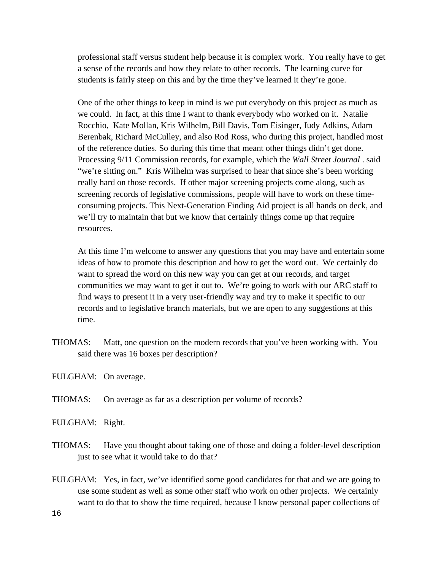professional staff versus student help because it is complex work. You really have to get a sense of the records and how they relate to other records. The learning curve for students is fairly steep on this and by the time they've learned it they're gone.

One of the other things to keep in mind is we put everybody on this project as much as we could. In fact, at this time I want to thank everybody who worked on it. Natalie Rocchio, Kate Mollan, Kris Wilhelm, Bill Davis, Tom Eisinger, Judy Adkins, Adam Berenbak, Richard McCulley, and also Rod Ross, who during this project, handled most of the reference duties. So during this time that meant other things didn't get done. Processing 9/11 Commission records, for example, which the *Wall Street Journal* . said "we're sitting on." Kris Wilhelm was surprised to hear that since she's been working really hard on those records. If other major screening projects come along, such as screening records of legislative commissions, people will have to work on these timeconsuming projects. This Next-Generation Finding Aid project is all hands on deck, and we'll try to maintain that but we know that certainly things come up that require resources.

At this time I'm welcome to answer any questions that you may have and entertain some ideas of how to promote this description and how to get the word out. We certainly do want to spread the word on this new way you can get at our records, and target communities we may want to get it out to. We're going to work with our ARC staff to find ways to present it in a very user-friendly way and try to make it specific to our records and to legislative branch materials, but we are open to any suggestions at this time.

- THOMAS: Matt, one question on the modern records that you've been working with. You said there was 16 boxes per description?
- FULGHAM: On average.
- THOMAS: On average as far as a description per volume of records?
- FULGHAM: Right.
- THOMAS: Have you thought about taking one of those and doing a folder-level description just to see what it would take to do that?
- FULGHAM: Yes, in fact, we've identified some good candidates for that and we are going to use some student as well as some other staff who work on other projects. We certainly want to do that to show the time required, because I know personal paper collections of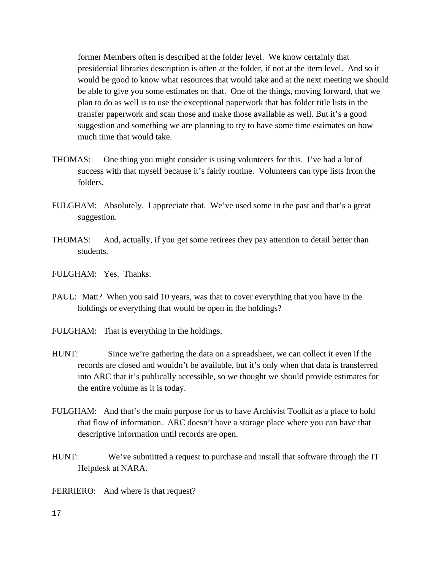former Members often is described at the folder level. We know certainly that presidential libraries description is often at the folder, if not at the item level. And so it would be good to know what resources that would take and at the next meeting we should be able to give you some estimates on that. One of the things, moving forward, that we plan to do as well is to use the exceptional paperwork that has folder title lists in the transfer paperwork and scan those and make those available as well. But it's a good suggestion and something we are planning to try to have some time estimates on how much time that would take.

- THOMAS: One thing you might consider is using volunteers for this. I've had a lot of success with that myself because it's fairly routine. Volunteers can type lists from the folders.
- FULGHAM: Absolutely. I appreciate that. We've used some in the past and that's a great suggestion.
- THOMAS: And, actually, if you get some retirees they pay attention to detail better than students.
- FULGHAM: Yes. Thanks.
- PAUL: Matt? When you said 10 years, was that to cover everything that you have in the holdings or everything that would be open in the holdings?
- FULGHAM: That is everything in the holdings.
- HUNT: Since we're gathering the data on a spreadsheet, we can collect it even if the records are closed and wouldn't be available, but it's only when that data is transferred into ARC that it's publically accessible, so we thought we should provide estimates for the entire volume as it is today.
- FULGHAM: And that's the main purpose for us to have Archivist Toolkit as a place to hold that flow of information. ARC doesn't have a storage place where you can have that descriptive information until records are open.
- HUNT: We've submitted a request to purchase and install that software through the IT Helpdesk at NARA.
- FERRIERO: And where is that request?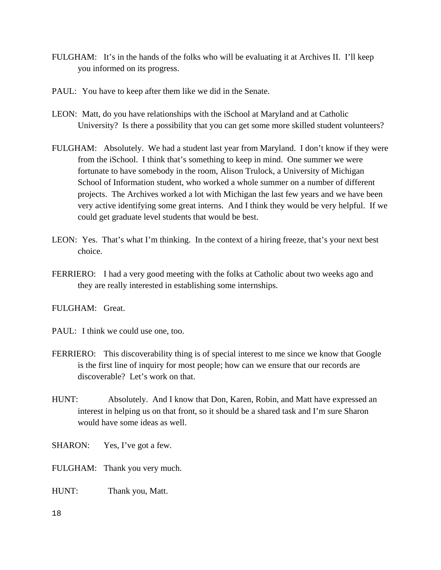- FULGHAM: It's in the hands of the folks who will be evaluating it at Archives II. I'll keep you informed on its progress.
- PAUL: You have to keep after them like we did in the Senate.
- LEON: Matt, do you have relationships with the iSchool at Maryland and at Catholic University? Is there a possibility that you can get some more skilled student volunteers?
- FULGHAM: Absolutely. We had a student last year from Maryland. I don't know if they were from the iSchool. I think that's something to keep in mind. One summer we were fortunate to have somebody in the room, Alison Trulock, a University of Michigan School of Information student, who worked a whole summer on a number of different projects. The Archives worked a lot with Michigan the last few years and we have been very active identifying some great interns. And I think they would be very helpful. If we could get graduate level students that would be best.
- LEON: Yes. That's what I'm thinking. In the context of a hiring freeze, that's your next best choice.
- FERRIERO: I had a very good meeting with the folks at Catholic about two weeks ago and they are really interested in establishing some internships.

FULGHAM: Great.

PAUL: I think we could use one, too.

- FERRIERO: This discoverability thing is of special interest to me since we know that Google is the first line of inquiry for most people; how can we ensure that our records are discoverable? Let's work on that.
- HUNT: Absolutely. And I know that Don, Karen, Robin, and Matt have expressed an interest in helping us on that front, so it should be a shared task and I'm sure Sharon would have some ideas as well.
- SHARON: Yes, I've got a few.
- FULGHAM: Thank you very much.
- HUNT: Thank you, Matt.
- 18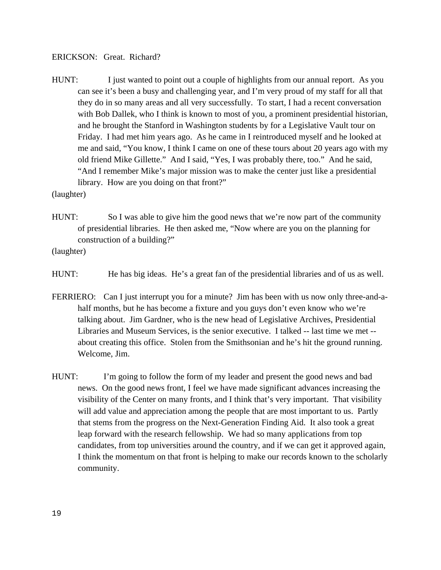#### ERICKSON: Great. Richard?

HUNT: I just wanted to point out a couple of highlights from our annual report. As you can see it's been a busy and challenging year, and I'm very proud of my staff for all that they do in so many areas and all very successfully. To start, I had a recent conversation with Bob Dallek, who I think is known to most of you, a prominent presidential historian, and he brought the Stanford in Washington students by for a Legislative Vault tour on Friday. I had met him years ago. As he came in I reintroduced myself and he looked at me and said, "You know, I think I came on one of these tours about 20 years ago with my old friend Mike Gillette." And I said, "Yes, I was probably there, too." And he said, "And I remember Mike's major mission was to make the center just like a presidential library. How are you doing on that front?"

(laughter)

HUNT: So I was able to give him the good news that we're now part of the community of presidential libraries. He then asked me, "Now where are you on the planning for construction of a building?"

(laughter)

- HUNT: He has big ideas. He's a great fan of the presidential libraries and of us as well.
- FERRIERO: Can I just interrupt you for a minute? Jim has been with us now only three-and-ahalf months, but he has become a fixture and you guys don't even know who we're talking about. Jim Gardner, who is the new head of Legislative Archives, Presidential Libraries and Museum Services, is the senior executive. I talked -- last time we met - about creating this office. Stolen from the Smithsonian and he's hit the ground running. Welcome, Jim.
- HUNT: I'm going to follow the form of my leader and present the good news and bad news. On the good news front, I feel we have made significant advances increasing the visibility of the Center on many fronts, and I think that's very important. That visibility will add value and appreciation among the people that are most important to us. Partly that stems from the progress on the Next-Generation Finding Aid. It also took a great leap forward with the research fellowship. We had so many applications from top candidates, from top universities around the country, and if we can get it approved again, I think the momentum on that front is helping to make our records known to the scholarly community.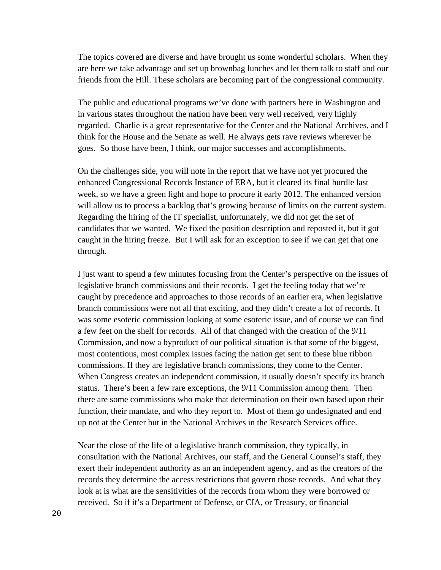The topics covered are diverse and have brought us some wonderful scholars. When they are here we take advantage and set up brownbag lunches and let them talk to staff and our friends from the Hill. These scholars are becoming part of the congressional community.

The public and educational programs we've done with partners here in Washington and in various states throughout the nation have been very well received, very highly regarded. Charlie is a great representative for the Center and the National Archives, and I think for the House and the Senate as well. He always gets rave reviews wherever he goes. So those have been, I think, our major successes and accomplishments.

On the challenges side, you will note in the report that we have not yet procured the enhanced Congressional Records Instance of ERA, but it cleared its final hurdle last week, so we have a green light and hope to procure it early 2012. The enhanced version will allow us to process a backlog that's growing because of limits on the current system. Regarding the hiring of the IT specialist, unfortunately, we did not get the set of candidates that we wanted. We fixed the position description and reposted it, but it got caught in the hiring freeze. But I will ask for an exception to see if we can get that one through.

I just want to spend a few minutes focusing from the Center's perspective on the issues of legislative branch commissions and their records. I get the feeling today that we're caught by precedence and approaches to those records of an earlier era, when legislative branch commissions were not all that exciting, and they didn't create a lot of records. It was some esoteric commission looking at some esoteric issue, and of course we can find a few feet on the shelf for records. All of that changed with the creation of the 9/11 Commission, and now a byproduct of our political situation is that some of the biggest, most contentious, most complex issues facing the nation get sent to these blue ribbon commissions. If they are legislative branch commissions, they come to the Center. When Congress creates an independent commission, it usually doesn't specify its branch status. There's been a few rare exceptions, the 9/11 Commission among them. Then there are some commissions who make that determination on their own based upon their function, their mandate, and who they report to. Most of them go undesignated and end up not at the Center but in the National Archives in the Research Services office.

Near the close of the life of a legislative branch commission, they typically, in consultation with the National Archives, our staff, and the General Counsel's staff, they exert their independent authority as an an independent agency, and as the creators of the records they determine the access restrictions that govern those records. And what they look at is what are the sensitivities of the records from whom they were borrowed or received. So if it's a Department of Defense, or CIA, or Treasury, or financial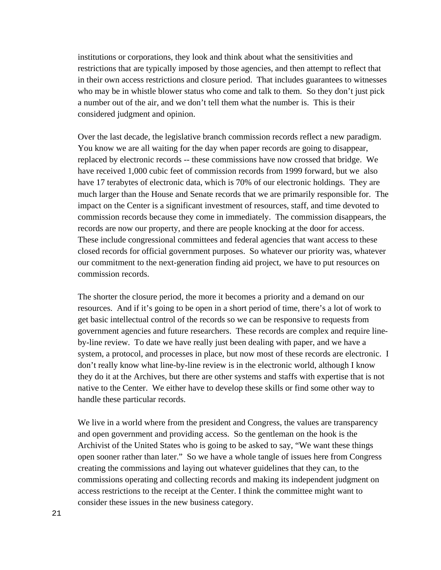institutions or corporations, they look and think about what the sensitivities and restrictions that are typically imposed by those agencies, and then attempt to reflect that in their own access restrictions and closure period. That includes guarantees to witnesses who may be in whistle blower status who come and talk to them. So they don't just pick a number out of the air, and we don't tell them what the number is. This is their considered judgment and opinion.

Over the last decade, the legislative branch commission records reflect a new paradigm. You know we are all waiting for the day when paper records are going to disappear, replaced by electronic records -- these commissions have now crossed that bridge. We have received 1,000 cubic feet of commission records from 1999 forward, but we also have 17 terabytes of electronic data, which is 70% of our electronic holdings. They are much larger than the House and Senate records that we are primarily responsible for. The impact on the Center is a significant investment of resources, staff, and time devoted to commission records because they come in immediately. The commission disappears, the records are now our property, and there are people knocking at the door for access. These include congressional committees and federal agencies that want access to these closed records for official government purposes. So whatever our priority was, whatever our commitment to the next-generation finding aid project, we have to put resources on commission records.

The shorter the closure period, the more it becomes a priority and a demand on our resources. And if it's going to be open in a short period of time, there's a lot of work to get basic intellectual control of the records so we can be responsive to requests from government agencies and future researchers. These records are complex and require lineby-line review. To date we have really just been dealing with paper, and we have a system, a protocol, and processes in place, but now most of these records are electronic. I don't really know what line-by-line review is in the electronic world, although I know they do it at the Archives, but there are other systems and staffs with expertise that is not native to the Center. We either have to develop these skills or find some other way to handle these particular records.

We live in a world where from the president and Congress, the values are transparency and open government and providing access. So the gentleman on the hook is the Archivist of the United States who is going to be asked to say, "We want these things open sooner rather than later." So we have a whole tangle of issues here from Congress creating the commissions and laying out whatever guidelines that they can, to the commissions operating and collecting records and making its independent judgment on access restrictions to the receipt at the Center. I think the committee might want to consider these issues in the new business category.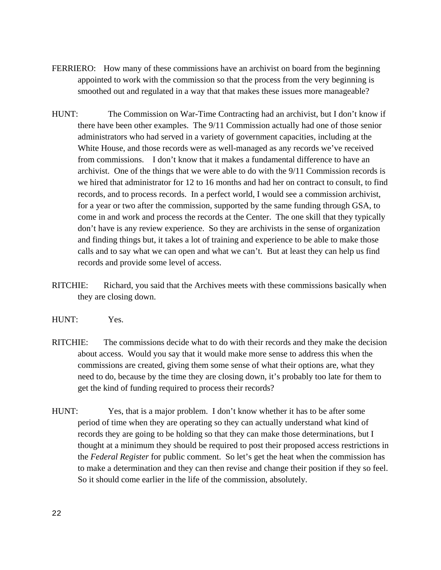- FERRIERO: How many of these commissions have an archivist on board from the beginning appointed to work with the commission so that the process from the very beginning is smoothed out and regulated in a way that that makes these issues more manageable?
- HUNT: The Commission on War-Time Contracting had an archivist, but I don't know if there have been other examples. The 9/11 Commission actually had one of those senior administrators who had served in a variety of government capacities, including at the White House, and those records were as well-managed as any records we've received from commissions. I don't know that it makes a fundamental difference to have an archivist. One of the things that we were able to do with the 9/11 Commission records is we hired that administrator for 12 to 16 months and had her on contract to consult, to find records, and to process records. In a perfect world, I would see a commission archivist, for a year or two after the commission, supported by the same funding through GSA, to come in and work and process the records at the Center. The one skill that they typically don't have is any review experience. So they are archivists in the sense of organization and finding things but, it takes a lot of training and experience to be able to make those calls and to say what we can open and what we can't. But at least they can help us find records and provide some level of access.
- RITCHIE: Richard, you said that the Archives meets with these commissions basically when they are closing down.
- HUNT: Yes.
- RITCHIE: The commissions decide what to do with their records and they make the decision about access. Would you say that it would make more sense to address this when the commissions are created, giving them some sense of what their options are, what they need to do, because by the time they are closing down, it's probably too late for them to get the kind of funding required to process their records?
- HUNT: Yes, that is a major problem. I don't know whether it has to be after some period of time when they are operating so they can actually understand what kind of records they are going to be holding so that they can make those determinations, but I thought at a minimum they should be required to post their proposed access restrictions in the *Federal Register* for public comment. So let's get the heat when the commission has to make a determination and they can then revise and change their position if they so feel. So it should come earlier in the life of the commission, absolutely.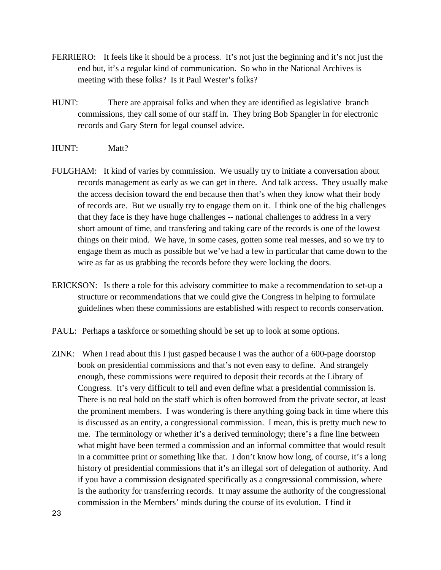- FERRIERO: It feels like it should be a process. It's not just the beginning and it's not just the end but, it's a regular kind of communication. So who in the National Archives is meeting with these folks? Is it Paul Wester's folks?
- HUNT: There are appraisal folks and when they are identified as legislative branch commissions, they call some of our staff in. They bring Bob Spangler in for electronic records and Gary Stern for legal counsel advice.
- HUNT: Matt?
- FULGHAM: It kind of varies by commission. We usually try to initiate a conversation about records management as early as we can get in there. And talk access. They usually make the access decision toward the end because then that's when they know what their body of records are. But we usually try to engage them on it. I think one of the big challenges that they face is they have huge challenges -- national challenges to address in a very short amount of time, and transfering and taking care of the records is one of the lowest things on their mind. We have, in some cases, gotten some real messes, and so we try to engage them as much as possible but we've had a few in particular that came down to the wire as far as us grabbing the records before they were locking the doors.
- ERICKSON: Is there a role for this advisory committee to make a recommendation to set-up a structure or recommendations that we could give the Congress in helping to formulate guidelines when these commissions are established with respect to records conservation.
- PAUL: Perhaps a taskforce or something should be set up to look at some options.
- ZINK: When I read about this I just gasped because I was the author of a 600-page doorstop book on presidential commissions and that's not even easy to define. And strangely enough, these commissions were required to deposit their records at the Library of Congress. It's very difficult to tell and even define what a presidential commission is. There is no real hold on the staff which is often borrowed from the private sector, at least the prominent members. I was wondering is there anything going back in time where this is discussed as an entity, a congressional commission. I mean, this is pretty much new to me. The terminology or whether it's a derived terminology; there's a fine line between what might have been termed a commission and an informal committee that would result in a committee print or something like that. I don't know how long, of course, it's a long history of presidential commissions that it's an illegal sort of delegation of authority. And if you have a commission designated specifically as a congressional commission, where is the authority for transferring records. It may assume the authority of the congressional commission in the Members' minds during the course of its evolution. I find it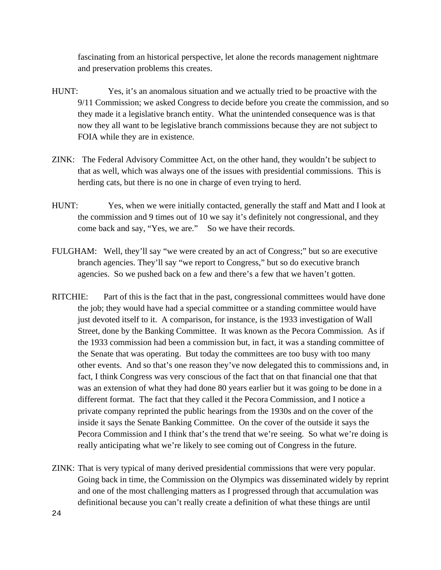fascinating from an historical perspective, let alone the records management nightmare and preservation problems this creates.

- HUNT: Yes, it's an anomalous situation and we actually tried to be proactive with the 9/11 Commission; we asked Congress to decide before you create the commission, and so they made it a legislative branch entity. What the unintended consequence was is that now they all want to be legislative branch commissions because they are not subject to FOIA while they are in existence.
- ZINK: The Federal Advisory Committee Act, on the other hand, they wouldn't be subject to that as well, which was always one of the issues with presidential commissions. This is herding cats, but there is no one in charge of even trying to herd.
- HUNT: Yes, when we were initially contacted, generally the staff and Matt and I look at the commission and 9 times out of 10 we say it's definitely not congressional, and they come back and say, "Yes, we are." So we have their records.
- FULGHAM: Well, they'll say "we were created by an act of Congress;" but so are executive branch agencies. They'll say "we report to Congress," but so do executive branch agencies. So we pushed back on a few and there's a few that we haven't gotten.
- RITCHIE: Part of this is the fact that in the past, congressional committees would have done the job; they would have had a special committee or a standing committee would have just devoted itself to it. A comparison, for instance, is the 1933 investigation of Wall Street, done by the Banking Committee. It was known as the Pecora Commission. As if the 1933 commission had been a commission but, in fact, it was a standing committee of the Senate that was operating. But today the committees are too busy with too many other events. And so that's one reason they've now delegated this to commissions and, in fact, I think Congress was very conscious of the fact that on that financial one that that was an extension of what they had done 80 years earlier but it was going to be done in a different format. The fact that they called it the Pecora Commission, and I notice a private company reprinted the public hearings from the 1930s and on the cover of the inside it says the Senate Banking Committee. On the cover of the outside it says the Pecora Commission and I think that's the trend that we're seeing. So what we're doing is really anticipating what we're likely to see coming out of Congress in the future.
- ZINK: That is very typical of many derived presidential commissions that were very popular. Going back in time, the Commission on the Olympics was disseminated widely by reprint and one of the most challenging matters as I progressed through that accumulation was definitional because you can't really create a definition of what these things are until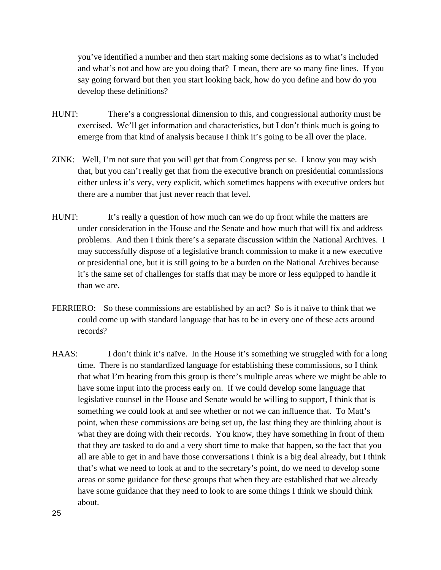you've identified a number and then start making some decisions as to what's included and what's not and how are you doing that? I mean, there are so many fine lines. If you say going forward but then you start looking back, how do you define and how do you develop these definitions?

- HUNT: There's a congressional dimension to this, and congressional authority must be exercised. We'll get information and characteristics, but I don't think much is going to emerge from that kind of analysis because I think it's going to be all over the place.
- ZINK: Well, I'm not sure that you will get that from Congress per se. I know you may wish that, but you can't really get that from the executive branch on presidential commissions either unless it's very, very explicit, which sometimes happens with executive orders but there are a number that just never reach that level.
- HUNT: It's really a question of how much can we do up front while the matters are under consideration in the House and the Senate and how much that will fix and address problems. And then I think there's a separate discussion within the National Archives. I may successfully dispose of a legislative branch commission to make it a new executive or presidential one, but it is still going to be a burden on the National Archives because it's the same set of challenges for staffs that may be more or less equipped to handle it than we are.
- FERRIERO: So these commissions are established by an act? So is it naïve to think that we could come up with standard language that has to be in every one of these acts around records?
- HAAS: I don't think it's naïve. In the House it's something we struggled with for a long time. There is no standardized language for establishing these commissions, so I think that what I'm hearing from this group is there's multiple areas where we might be able to have some input into the process early on. If we could develop some language that legislative counsel in the House and Senate would be willing to support, I think that is something we could look at and see whether or not we can influence that. To Matt's point, when these commissions are being set up, the last thing they are thinking about is what they are doing with their records. You know, they have something in front of them that they are tasked to do and a very short time to make that happen, so the fact that you all are able to get in and have those conversations I think is a big deal already, but I think that's what we need to look at and to the secretary's point, do we need to develop some areas or some guidance for these groups that when they are established that we already have some guidance that they need to look to are some things I think we should think about.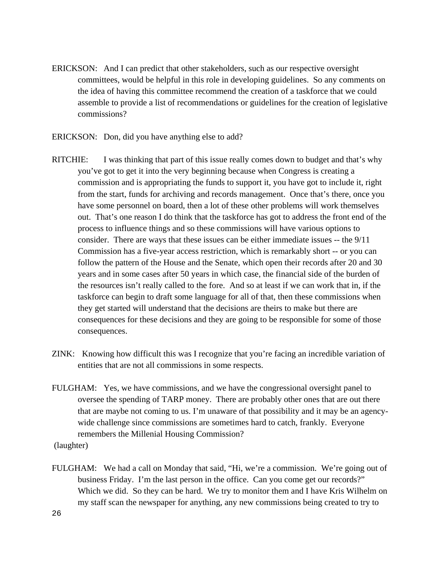- ERICKSON: And I can predict that other stakeholders, such as our respective oversight committees, would be helpful in this role in developing guidelines. So any comments on the idea of having this committee recommend the creation of a taskforce that we could assemble to provide a list of recommendations or guidelines for the creation of legislative commissions?
- ERICKSON: Don, did you have anything else to add?
- RITCHIE: I was thinking that part of this issue really comes down to budget and that's why you've got to get it into the very beginning because when Congress is creating a commission and is appropriating the funds to support it, you have got to include it, right from the start, funds for archiving and records management. Once that's there, once you have some personnel on board, then a lot of these other problems will work themselves out. That's one reason I do think that the taskforce has got to address the front end of the process to influence things and so these commissions will have various options to consider. There are ways that these issues can be either immediate issues -- the 9/11 Commission has a five-year access restriction, which is remarkably short -- or you can follow the pattern of the House and the Senate, which open their records after 20 and 30 years and in some cases after 50 years in which case, the financial side of the burden of the resources isn't really called to the fore. And so at least if we can work that in, if the taskforce can begin to draft some language for all of that, then these commissions when they get started will understand that the decisions are theirs to make but there are consequences for these decisions and they are going to be responsible for some of those consequences.
- ZINK: Knowing how difficult this was I recognize that you're facing an incredible variation of entities that are not all commissions in some respects.
- FULGHAM: Yes, we have commissions, and we have the congressional oversight panel to oversee the spending of TARP money. There are probably other ones that are out there that are maybe not coming to us. I'm unaware of that possibility and it may be an agencywide challenge since commissions are sometimes hard to catch, frankly. Everyone remembers the Millenial Housing Commission?

(laughter)

FULGHAM: We had a call on Monday that said, "Hi, we're a commission. We're going out of business Friday. I'm the last person in the office. Can you come get our records?" Which we did. So they can be hard. We try to monitor them and I have Kris Wilhelm on my staff scan the newspaper for anything, any new commissions being created to try to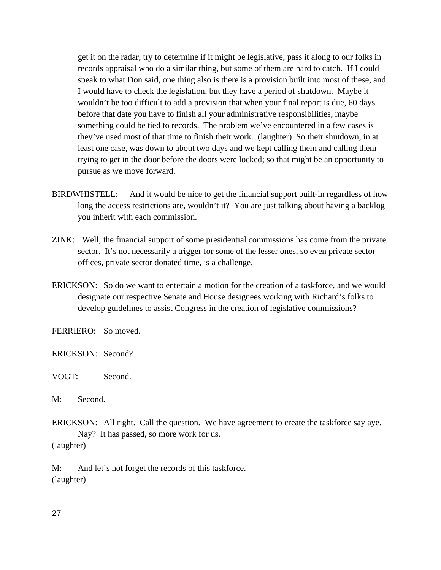get it on the radar, try to determine if it might be legislative, pass it along to our folks in records appraisal who do a similar thing, but some of them are hard to catch. If I could speak to what Don said, one thing also is there is a provision built into most of these, and I would have to check the legislation, but they have a period of shutdown. Maybe it wouldn't be too difficult to add a provision that when your final report is due, 60 days before that date you have to finish all your administrative responsibilities, maybe something could be tied to records. The problem we've encountered in a few cases is they've used most of that time to finish their work. (laughter) So their shutdown, in at least one case, was down to about two days and we kept calling them and calling them trying to get in the door before the doors were locked; so that might be an opportunity to pursue as we move forward.

- BIRDWHISTELL: And it would be nice to get the financial support built-in regardless of how long the access restrictions are, wouldn't it? You are just talking about having a backlog you inherit with each commission.
- ZINK: Well, the financial support of some presidential commissions has come from the private sector. It's not necessarily a trigger for some of the lesser ones, so even private sector offices, private sector donated time, is a challenge.
- ERICKSON: So do we want to entertain a motion for the creation of a taskforce, and we would designate our respective Senate and House designees working with Richard's folks to develop guidelines to assist Congress in the creation of legislative commissions?

FERRIERO: So moved.

ERICKSON: Second?

# VOGT: Second.

M: Second.

ERICKSON: All right. Call the question. We have agreement to create the taskforce say aye. Nay? It has passed, so more work for us. (laughter)

M: And let's not forget the records of this taskforce. (laughter)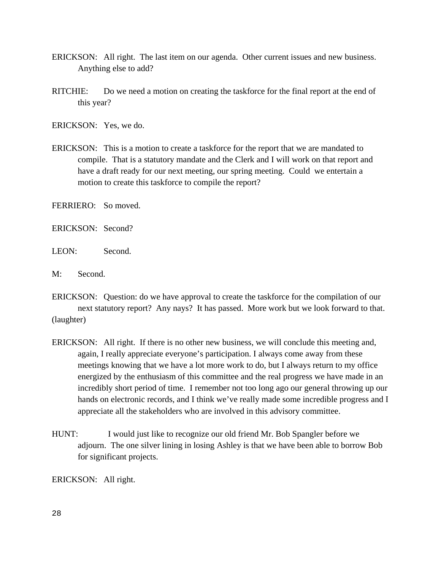- ERICKSON: All right. The last item on our agenda. Other current issues and new business. Anything else to add?
- RITCHIE: Do we need a motion on creating the taskforce for the final report at the end of this year?

ERICKSON: Yes, we do.

ERICKSON: This is a motion to create a taskforce for the report that we are mandated to compile. That is a statutory mandate and the Clerk and I will work on that report and have a draft ready for our next meeting, our spring meeting. Could we entertain a motion to create this taskforce to compile the report?

FERRIERO: So moved.

ERICKSON: Second?

LEON: Second.

M: Second.

ERICKSON: Question: do we have approval to create the taskforce for the compilation of our next statutory report? Any nays? It has passed. More work but we look forward to that. (laughter)

- ERICKSON: All right. If there is no other new business, we will conclude this meeting and, again, I really appreciate everyone's participation. I always come away from these meetings knowing that we have a lot more work to do, but I always return to my office energized by the enthusiasm of this committee and the real progress we have made in an incredibly short period of time. I remember not too long ago our general throwing up our hands on electronic records, and I think we've really made some incredible progress and I appreciate all the stakeholders who are involved in this advisory committee.
- HUNT: I would just like to recognize our old friend Mr. Bob Spangler before we adjourn. The one silver lining in losing Ashley is that we have been able to borrow Bob for significant projects.

ERICKSON: All right.